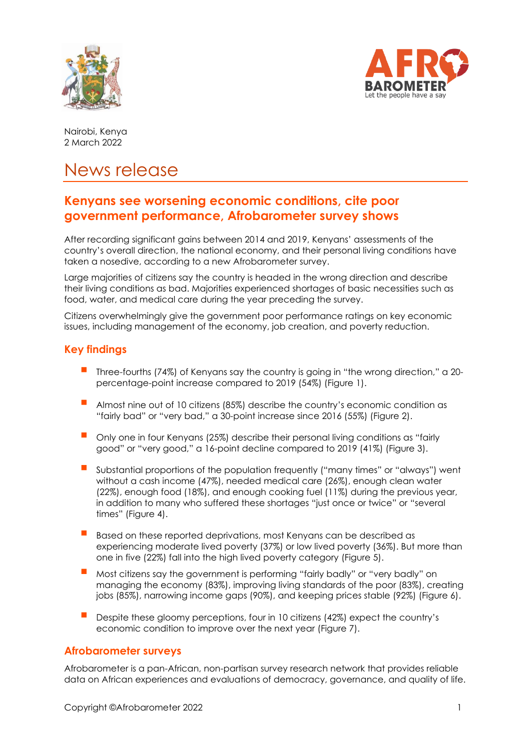



Nairobi, Kenya 2 March 2022

# News release

# **Kenyans see worsening economic conditions, cite poor government performance, Afrobarometer survey shows**

After recording significant gains between 2014 and 2019, Kenyans' assessments of the country's overall direction, the national economy, and their personal living conditions have taken a nosedive, according to a new Afrobarometer survey.

Large majorities of citizens say the country is headed in the wrong direction and describe their living conditions as bad. Majorities experienced shortages of basic necessities such as food, water, and medical care during the year preceding the survey.

Citizens overwhelmingly give the government poor performance ratings on key economic issues, including management of the economy, job creation, and poverty reduction.

# **Key findings**

- Three-fourths (74%) of Kenyans say the country is going in "the wrong direction," a 20 percentage-point increase compared to 2019 (54%) (Figure 1).
- Almost nine out of 10 citizens (85%) describe the country's economic condition as "fairly bad" or "very bad," a 30-point increase since 2016 (55%) (Figure 2).
- Only one in four Kenyans (25%) describe their personal living conditions as "fairly good" or "very good," a 16-point decline compared to 2019 (41%) (Figure 3).
- Substantial proportions of the population frequently ("many times" or "always") went without a cash income (47%), needed medical care (26%), enough clean water (22%), enough food (18%), and enough cooking fuel (11%) during the previous year, in addition to many who suffered these shortages "just once or twice" or "several times" (Figure 4).
- Based on these reported deprivations, most Kenyans can be described as experiencing moderate lived poverty (37%) or low lived poverty (36%). But more than one in five (22%) fall into the high lived poverty category (Figure 5).
- Most citizens say the government is performing "fairly badly" or "very badly" o<sup>n</sup> managing the economy (83%), improving living standards of the poor (83%), creating jobs (85%), narrowing income gaps (90%), and keeping prices stable (92%) (Figure 6).
- Despite these gloomy perceptions, four in 10 citizens (42%) expect the country's economic condition to improve over the next year (Figure 7).

## **Afrobarometer surveys**

Afrobarometer is a pan-African, non-partisan survey research network that provides reliable data on African experiences and evaluations of democracy, governance, and quality of life.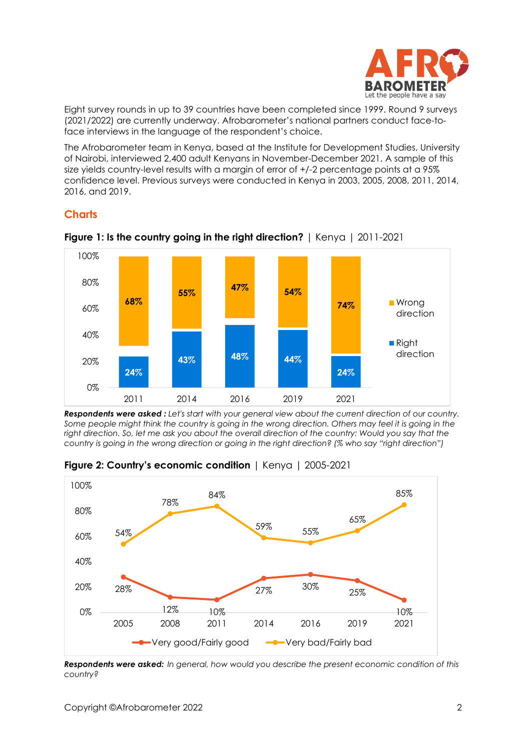

Eight survey rounds in up to 39 countries have been completed since 1999. Round 9 surveys (2021/2022) are currently underway. Afrobarometer's national partners conduct face-toface interviews in the language of the respondent's choice.

The Afrobarometer team in Kenya, based at the Institute for Development Studies, University of Nairobi, interviewed 2,400 adult Kenyans in November-December 2021. A sample of this size yields country-level results with a margin of error of  $+/$ -2 percentage points at a 95% confidence level. Previous surveys were conducted in Kenya in 2003, 2005, 2008, 2011, 2014, 2016, and 2019.

# **Charts**



**Figure 1: Is the country going in the right direction?** | Kenya | 2011-2021

*Respondents were asked : Let's start with your general view about the current direction of our country. Some people might think the country is going in the wrong direction. Others may feel it is going in the right direction. So, let me ask you about the overall direction of the country: Would you say that the country is going in the wrong direction or going in the right direction? (% who say "right direction")*



**Figure 2: Country's economic condition** | Kenya | 2005-2021

*Respondents were asked: In general, how would you describe the present economic condition of this country?*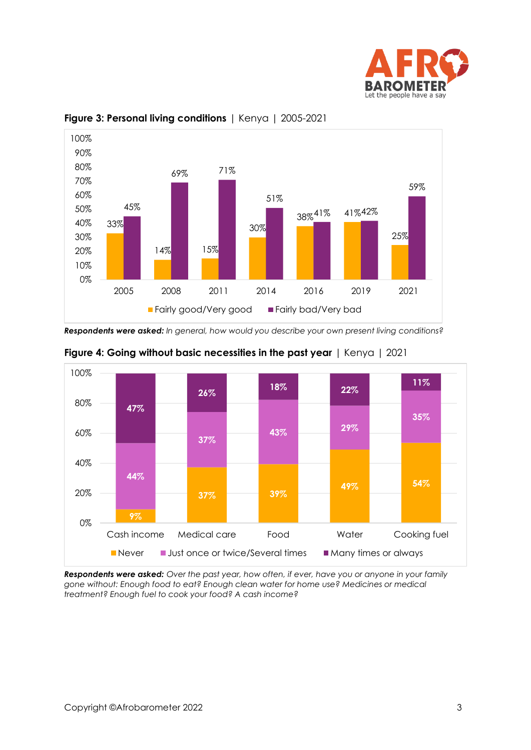



## **Figure 3: Personal living conditions** | Kenya | 2005-2021

*Respondents were asked: In general, how would you describe your own present living conditions?*





*Respondents were asked: Over the past year, how often, if ever, have you or anyone in your family gone without: Enough food to eat? Enough clean water for home use? Medicines or medical treatment? Enough fuel to cook your food? A cash income?*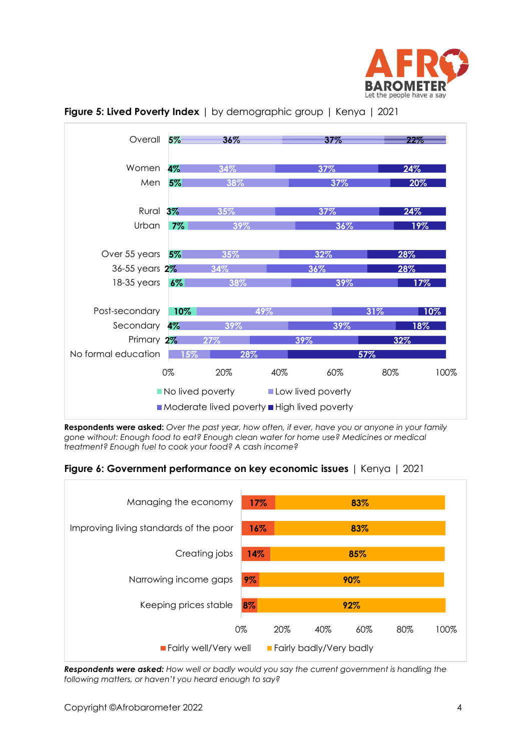





**Respondents were asked:** *Over the past year, how often, if ever, have you or anyone in your family gone without: Enough food to eat? Enough clean water for home use? Medicines or medical treatment? Enough fuel to cook your food? A cash income?* 

**Figure 6: Government performance on key economic issues** | Kenya | 2021



*Respondents were asked: How well or badly would you say the current government is handling the following matters, or haven't you heard enough to say?*